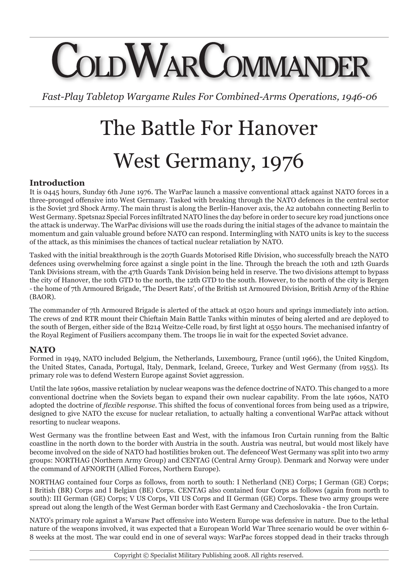# COMMANDE

*Fast-Play Tabletop Wargame Rules For Combined-Arms Operations, 1946-06*

# The Battle For Hanover West Germany, 1976

# **Introduction**

It is 0445 hours, Sunday 6th June 1976. The WarPac launch a massive conventional attack against NATO forces in a three-pronged offensive into West Germany. Tasked with breaking through the NATO defences in the central sector is the Soviet 3rd Shock Army. The main thrust is along the Berlin-Hanover axis, the A2 autobahn connecting Berlin to West Germany. Spetsnaz Special Forces infiltrated NATO lines the day before in order to secure key road junctions once the attack is underway. The WarPac divisions will use the roads during the initial stages of the advance to maintain the momentum and gain valuable ground before NATO can respond. Intermingling with NATO units is key to the success of the attack, as this minimises the chances of tactical nuclear retaliation by NATO.

Tasked with the initial breakthrough is the 207th Guards Motorised Rifle Division, who successfully breach the NATO defences using overwhelming force against a single point in the line. Through the breach the 10th and 12th Guards Tank Divisions stream, with the 47th Guards Tank Division being held in reserve. The two divisions attempt to bypass the city of Hanover, the 10th GTD to the north, the 12th GTD to the south. However, to the north of the city is Bergen - the home of 7th Armoured Brigade, 'The Desert Rats', of the British 1st Armoured Division, British Army of the Rhine (BAOR).

The commander of 7th Armoured Brigade is alerted of the attack at 0520 hours and springs immediately into action. The crews of 2nd RTR mount their Chieftain Main Battle Tanks within minutes of being alerted and are deployed to the south of Bergen, either side of the B214 Weitze-Celle road, by first light at 0550 hours. The mechanised infantry of the Royal Regiment of Fusiliers accompany them. The troops lie in wait for the expected Soviet advance.

# **NATO**

Formed in 1949, NATO included Belgium, the Netherlands, Luxembourg, France (until 1966), the United Kingdom, the United States, Canada, Portugal, Italy, Denmark, Iceland, Greece, Turkey and West Germany (from 1955). Its primary role was to defend Western Europe against Soviet aggression.

Until the late 1960s, massive retaliation by nuclear weapons was the defence doctrine of NATO. This changed to a more conventional doctrine when the Soviets began to expand their own nuclear capability. From the late 1960s, NATO adopted the doctrine of *flexible response*. This shifted the focus of conventional forces from being used as a tripwire, designed to give NATO the excuse for nuclear retaliation, to actually halting a conventional WarPac attack without resorting to nuclear weapons.

West Germany was the frontline between East and West, with the infamous Iron Curtain running from the Baltic coastline in the north down to the border with Austria in the south. Austria was neutral, but would most likely have become involved on the side of NATO had hostilities broken out. The defenceof West Germany was split into two army groups: NORTHAG (Northern Army Group) and CENTAG (Central Army Group). Denmark and Norway were under the command of AFNORTH (Allied Forces, Northern Europe).

NORTHAG contained four Corps as follows, from north to south: I Netherland (NE) Corps; I German (GE) Corps; I British (BR) Corps and I Belgian (BE) Corps. CENTAG also contained four Corps as follows (again from north to south): III German (GE) Corps; V US Corps, VII US Corps and II German (GE) Corps. These two army groups were spread out along the length of the West German border with East Germany and Czechoslovakia - the Iron Curtain.

NATO's primary role against a Warsaw Pact offensive into Western Europe was defensive in nature. Due to the lethal nature of the weapons involved, it was expected that a European World War Three scenario would be over within 6- 8 weeks at the most. The war could end in one of several ways: WarPac forces stopped dead in their tracks through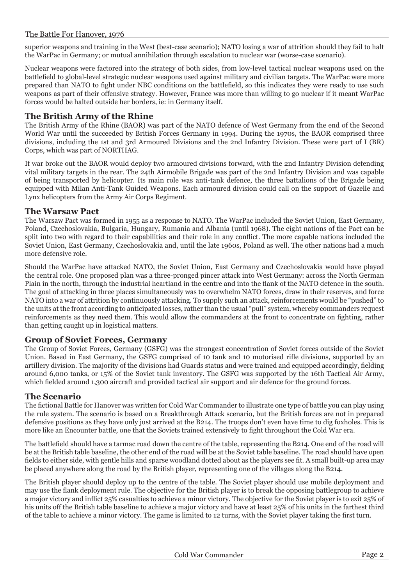## The Battle For Hanover, 1976

superior weapons and training in the West (best-case scenario); NATO losing a war of attrition should they fail to halt the WarPac in Germany; or mutual annihilation through escalation to nuclear war (worse-case scenario).

Nuclear weapons were factored into the strategy of both sides, from low-level tactical nuclear weapons used on the battlefield to global-level strategic nuclear weapons used against military and civilian targets. The WarPac were more prepared than NATO to fight under NBC conditions on the battlefield, so this indicates they were ready to use such weapons as part of their offensive strategy. However, France was more than willing to go nuclear if it meant WarPac forces would be halted outside her borders, ie: in Germany itself.

# **The British Army of the Rhine**

The British Army of the Rhine (BAOR) was part of the NATO defence of West Germany from the end of the Second World War until the succeeded by British Forces Germany in 1994. During the 1970s, the BAOR comprised three divisions, including the 1st and 3rd Armoured Divisions and the 2nd Infantry Division. These were part of I (BR) Corps, which was part of NORTHAG.

If war broke out the BAOR would deploy two armoured divisions forward, with the 2nd Infantry Division defending vital military targets in the rear. The 24th Airmobile Brigade was part of the 2nd Infantry Division and was capable of being transported by helicopter. Its main role was anti-tank defence, the three battalions of the Brigade being equipped with Milan Anti-Tank Guided Weapons. Each armoured division could call on the support of Gazelle and Lynx helicopters from the Army Air Corps Regiment.

# **The Warsaw Pact**

The Warsaw Pact was formed in 1955 as a response to NATO. The WarPac included the Soviet Union, East Germany, Poland, Czechoslovakia, Bulgaria, Hungary, Rumania and Albania (until 1968). The eight nations of the Pact can be split into two with regard to their capabilities and their role in any conflict. The more capable nations included the Soviet Union, East Germany, Czechoslovakia and, until the late 1960s, Poland as well. The other nations had a much more defensive role.

Should the WarPac have attacked NATO, the Soviet Union, East Germany and Czechoslovakia would have played the central role. One proposed plan was a three-pronged pincer attack into West Germany: across the North German Plain in the north, through the industrial heartland in the centre and into the flank of the NATO defence in the south. The goal of attacking in three places simultaneously was to overwhelm NATO forces, draw in their reserves, and force NATO into a war of attrition by continuously attacking. To supply such an attack, reinforcements would be "pushed" to the units at the front according to anticipated losses, rather than the usual "pull" system, whereby commanders request reinforcements as they need them. This would allow the commanders at the front to concentrate on fighting, rather than getting caught up in logistical matters.

#### **Group of Soviet Forces, Germany**

The Group of Soviet Forces, Germany (GSFG) was the strongest concentration of Soviet forces outside of the Soviet Union. Based in East Germany, the GSFG comprised of 10 tank and 10 motorised rifle divisions, supported by an artillery division. The majority of the divisions had Guards status and were trained and equipped accordingly, fielding around 6,000 tanks, or 15% of the Soviet tank inventory. The GSFG was supported by the 16th Tactical Air Army, which fielded around 1,300 aircraft and provided tactical air support and air defence for the ground forces.

# **The Scenario**

The fictional Battle for Hanover was written for Cold War Commander to illustrate one type of battle you can play using the rule system. The scenario is based on a Breakthrough Attack scenario, but the British forces are not in prepared defensive positions as they have only just arrived at the B214. The troops don't even have time to dig foxholes. This is more like an Encounter battle, one that the Soviets trained extensively to fight throughout the Cold War era.

The battlefield should have a tarmac road down the centre of the table, representing the B214. One end of the road will be at the British table baseline, the other end of the road will be at the Soviet table baseline. The road should have open fields to either side, with gentle hills and sparse woodland dotted about as the players see fit. A small built-up area may be placed anywhere along the road by the British player, representing one of the villages along the B214.

The British player should deploy up to the centre of the table. The Soviet player should use mobile deployment and may use the flank deployment rule. The objective for the British player is to break the opposing battlegroup to achieve a major victory and inflict 25% casualties to achieve a minor victory. The objective for the Soviet player is to exit 25% of his units off the British table baseline to achieve a major victory and have at least 25% of his units in the farthest third of the table to achieve a minor victory. The game is limited to 12 turns, with the Soviet player taking the first turn.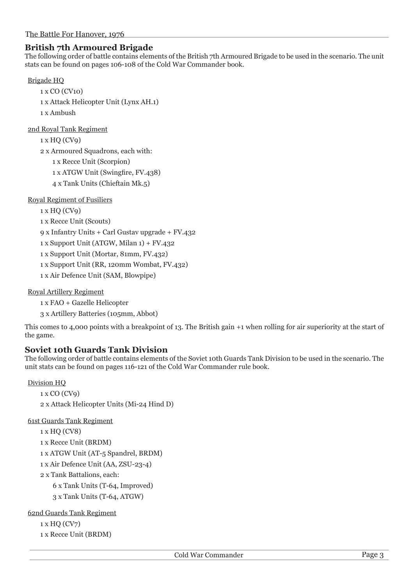# **British 7th Armoured Brigade**

The following order of battle contains elements of the British 7th Armoured Brigade to be used in the scenario. The unit stats can be found on pages 106-108 of the Cold War Commander book.

## Brigade HQ

```
1 x CO (CV10)
1 x Attack Helicopter Unit (Lynx AH.1)
1 x Ambush
```
2nd Royal Tank Regiment

```
1 x HQ (CV9)
2 x Armoured Squadrons, each with:
   1 x Recce Unit (Scorpion)
   1 x ATGW Unit (Swingfire, FV.438)
```
4 x Tank Units (Chieftain Mk.5)

Royal Regiment of Fusiliers

1 x HQ (CV9)

1 x Recce Unit (Scouts)

9 x Infantry Units + Carl Gustav upgrade + FV.432

1 x Support Unit (ATGW, Milan 1) + FV.432

1 x Support Unit (Mortar, 81mm, FV.432)

1 x Support Unit (RR, 120mm Wombat, FV.432)

1 x Air Defence Unit (SAM, Blowpipe)

Royal Artillery Regiment

1 x FAO + Gazelle Helicopter

3 x Artillery Batteries (105mm, Abbot)

This comes to 4,000 points with a breakpoint of 13. The British gain +1 when rolling for air superiority at the start of the game.

# **Soviet 10th Guards Tank Division**

The following order of battle contains elements of the Soviet 10th Guards Tank Division to be used in the scenario. The unit stats can be found on pages 116-121 of the Cold War Commander rule book.

#### Division HQ

```
1 x CO (CV9)
```
2 x Attack Helicopter Units (Mi-24 Hind D)

61st Guards Tank Regiment

```
1 x HQ (CV8)
```
1 x Recce Unit (BRDM)

1 x ATGW Unit (AT-5 Spandrel, BRDM)

1 x Air Defence Unit (AA, ZSU-23-4)

2 x Tank Battalions, each:

6 x Tank Units (T-64, Improved)

3 x Tank Units (T-64, ATGW)

62nd Guards Tank Regiment

1 x HQ (CV7)

1 x Recce Unit (BRDM)